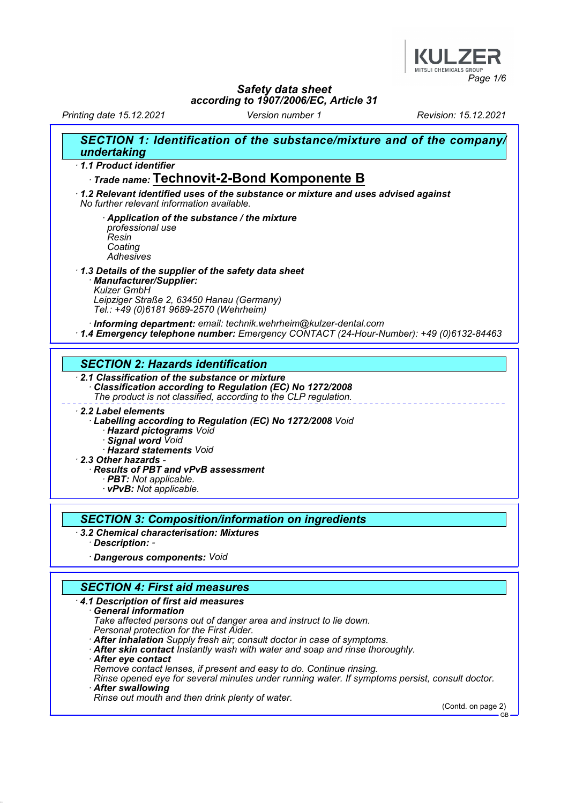

Printing date 15.12.2021 Version number 1 Revision: 15.12.2021

| SECTION 1: Identification of the substance/mixture and of the company/<br>undertaking                                                                                                         |
|-----------------------------------------------------------------------------------------------------------------------------------------------------------------------------------------------|
| 1.1 Product identifier                                                                                                                                                                        |
| Trade name: Technovit-2-Bond Komponente B                                                                                                                                                     |
| $\cdot$ 1.2 Relevant identified uses of the substance or mixture and uses advised against<br>No further relevant information available.                                                       |
| Application of the substance / the mixture<br>professional use<br>Resin<br>Coating<br>Adhesives                                                                                               |
| 1.3 Details of the supplier of the safety data sheet<br>· Manufacturer/Supplier:<br><b>Kulzer GmbH</b><br>Leipziger Straße 2, 63450 Hanau (Germany)<br>Tel.: +49 (0)6181 9689-2570 (Wehrheim) |
| · Informing department: email: technik.wehrheim@kulzer-dental.com<br>1.4 Emergency telephone number: Emergency CONTACT (24-Hour-Number): +49 (0)6132-84463                                    |
|                                                                                                                                                                                               |
| <b>SECTION 2: Hazards identification</b>                                                                                                                                                      |
| 2.1 Classification of the substance or mixture<br>Classification according to Regulation (EC) No 1272/2008<br>The product is not classified, according to the CLP regulation.                 |
| 2.2 Label elements<br>· Labelling according to Regulation (EC) No 1272/2008 Void<br>· Hazard pictograms Void<br>· Signal word Void<br>· Hazard statements Void                                |
| $\cdot$ 2.3 Other hazards -                                                                                                                                                                   |
| · Results of PBT and vPvB assessment<br>· PBT: Not applicable.<br>· vPvB: Not applicable.                                                                                                     |
|                                                                                                                                                                                               |
| <b>SECTION 3: Composition/information on ingredients</b>                                                                                                                                      |
| 3.2 Chemical characterisation: Mixtures<br>· Description: -                                                                                                                                   |
| · Dangerous components: Void                                                                                                                                                                  |
|                                                                                                                                                                                               |
| <b>SECTION 4: First aid measures</b>                                                                                                                                                          |
| 4.1 Description of first aid measures<br>$\cdot$ General information<br>Take affected persons out of danger area and instruct to lie down.<br>Personal protection for the First Aider.        |
| After inhalation Supply fresh air; consult doctor in case of symptoms.<br>After skin contact instantly wash with water and soap and rinse thoroughly.<br>· After eye contact                  |

Remove contact lenses, if present and easy to do. Continue rinsing.

Rinse opened eye for several minutes under running water. If symptoms persist, consult doctor.

· After swallowing

Rinse out mouth and then drink plenty of water.

(Contd. on page 2) GB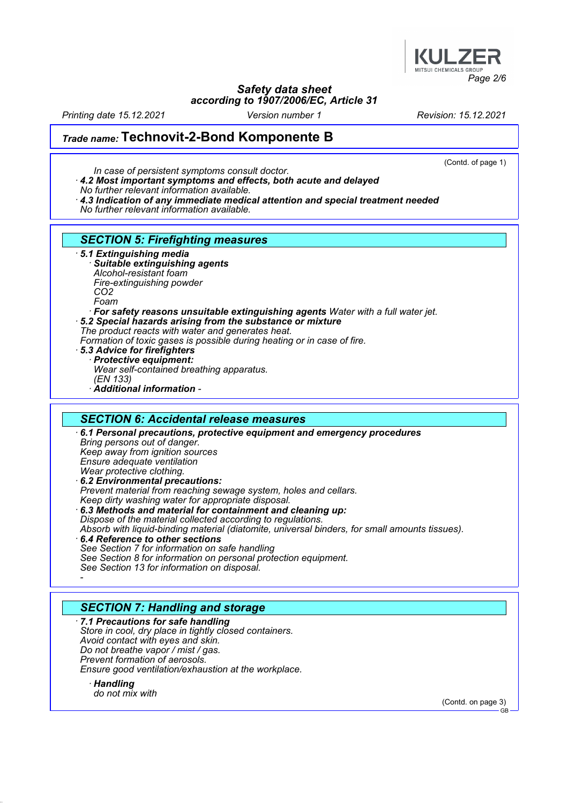

Printing date 15.12.2021 Version number 1 Revision: 15.12.2021

(Contd. of page 1)

# Trade name: Technovit-2-Bond Komponente B

- In case of persistent symptoms consult doctor.
- · 4.2 Most important symptoms and effects, both acute and delayed
- No further relevant information available.
- $\cdot$  4.3 Indication of any immediate medical attention and special treatment needed
- No further relevant information available.

## SECTION 5: Firefighting measures

- · 5.1 Extinguishing media
	- Suitable extinguishing agents Alcohol-resistant foam
	- Fire-extinguishing powder
	- CO2
	- Foam
	- · For safety reasons unsuitable extinguishing agents Water with a full water jet.
- · 5.2 Special hazards arising from the substance or mixture
- The product reacts with water and generates heat.
- Formation of toxic gases is possible during heating or in case of fire.
- · 5.3 Advice for firefighters · Protective equipment: Wear self-contained breathing apparatus. (EN 133) · Additional information -

#### SECTION 6: Accidental release measures · 6.1 Personal precautions, protective equipment and emergency procedures Bring persons out of danger. Keep away from ignition sources Ensure adequate ventilation Wear protective clothing. · 6.2 Environmental precautions: Prevent material from reaching sewage system, holes and cellars. Keep dirty washing water for appropriate disposal. · 6.3 Methods and material for containment and cleaning up: Dispose of the material collected according to regulations. Absorb with liquid-binding material (diatomite, universal binders, for small amounts tissues).

· 6.4 Reference to other sections See Section 7 for information on safe handling See Section 8 for information on personal protection equipment. See Section 13 for information on disposal. -

# SECTION 7: Handling and storage

· 7.1 Precautions for safe handling Store in cool, dry place in tightly closed containers. Avoid contact with eyes and skin. Do not breathe vapor / mist / gas. Prevent formation of aerosols. Ensure good ventilation/exhaustion at the workplace.

· Handling do not mix with

(Contd. on page 3)

GB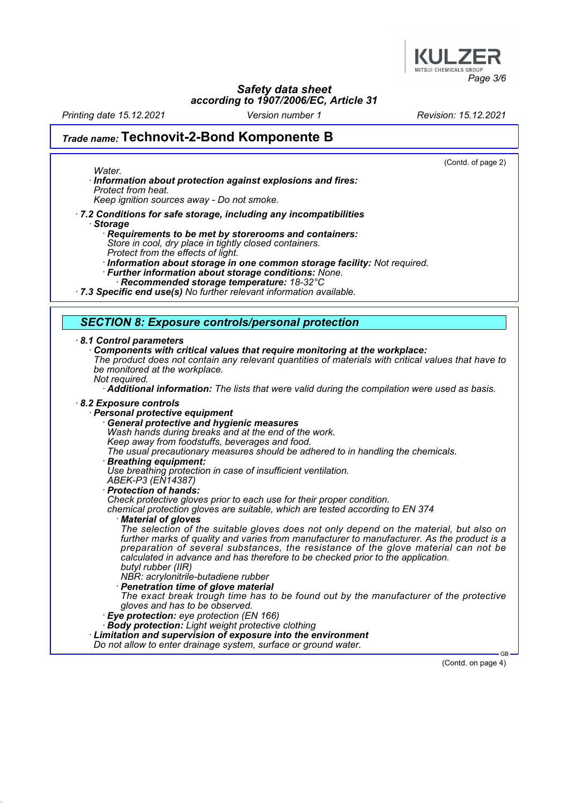

Printing date 15.12.2021 Version number 1 Revision: 15.12.2021

Water.

# Trade name: Technovit-2-Bond Komponente B

(Contd. of page 2)

· Information about protection against explosions and fires: Protect from heat.

Keep ignition sources away - Do not smoke.

· 7.2 Conditions for safe storage, including any incompatibilities · Storage

Requirements to be met by storerooms and containers: Store in cool, dry place in tightly closed containers.

Protect from the effects of light.

· Information about storage in one common storage facility: Not required.

· Further information about storage conditions: None.

Recommended storage temperature: 18-32°C

· 7.3 Specific end use(s) No further relevant information available.

### SECTION 8: Exposure controls/personal protection

#### · 8.1 Control parameters

· Components with critical values that require monitoring at the workplace:

The product does not contain any relevant quantities of materials with critical values that have to be monitored at the workplace.

Not required.

Additional information: The lists that were valid during the compilation were used as basis.

#### · 8.2 Exposure controls

- Personal protective equipment
	- General protective and hygienic measures
	- Wash hands during breaks and at the end of the work.
	- Keep away from foodstuffs, beverages and food.

The usual precautionary measures should be adhered to in handling the chemicals.

· Breathing equipment:

Use breathing protection in case of insufficient ventilation.

ABEK-P3 (EN14387)

· Protection of hands:

Check protective gloves prior to each use for their proper condition.

chemical protection gloves are suitable, which are tested according to EN 374

**Material of gloves** 

The selection of the suitable gloves does not only depend on the material, but also on further marks of quality and varies from manufacturer to manufacturer. As the product is a preparation of several substances, the resistance of the glove material can not be calculated in advance and has therefore to be checked prior to the application. butyl rubber (IIR)

- NBR: acrylonitrile-butadiene rubber
- **Penetration time of glove material**
- The exact break trough time has to be found out by the manufacturer of the protective gloves and has to be observed.
- · Eye protection: eye protection (EN 166)
- Body protection: Light weight protective clothing

Limitation and supervision of exposure into the environment

Do not allow to enter drainage system, surface or ground water.

(Contd. on page 4)

GB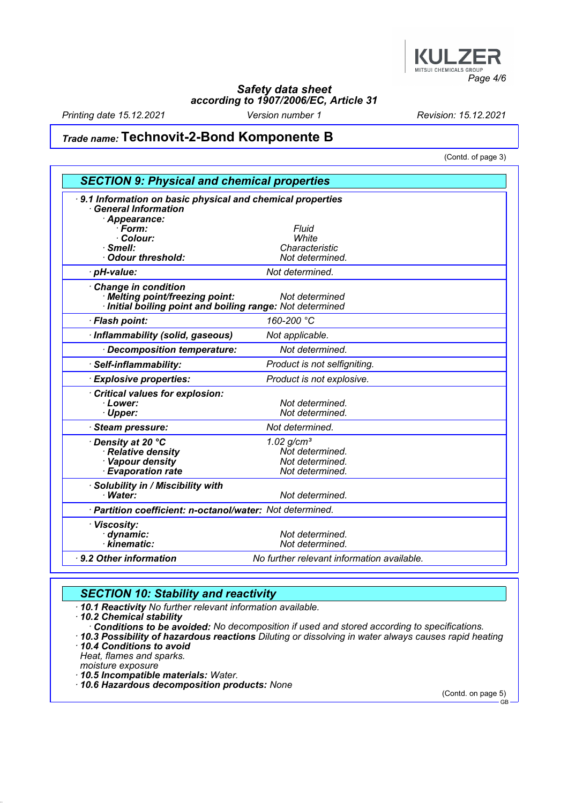

Printing date 15.12.2021 Version number 1 Revision: 15.12.2021

# Trade name: Technovit-2-Bond Komponente B

(Contd. of page 3)

|                                                                                                                   | <b>SECTION 9: Physical and chemical properties</b> |  |  |  |
|-------------------------------------------------------------------------------------------------------------------|----------------------------------------------------|--|--|--|
| 9.1 Information on basic physical and chemical properties<br><b>General Information</b><br>· Appearance:          |                                                    |  |  |  |
| · Form:                                                                                                           | Fluid                                              |  |  |  |
| · Colour:                                                                                                         | White                                              |  |  |  |
| · Smell:                                                                                                          | Characteristic                                     |  |  |  |
| · Odour threshold:                                                                                                | Not determined.                                    |  |  |  |
| · pH-value:                                                                                                       | Not determined.                                    |  |  |  |
| Change in condition<br>· Melting point/freezing point:<br>Initial boiling point and boiling range: Not determined | Not determined                                     |  |  |  |
| · Flash point:                                                                                                    | 160-200 °C                                         |  |  |  |
| · Inflammability (solid, gaseous)                                                                                 | Not applicable.                                    |  |  |  |
| Decomposition temperature:                                                                                        | Not determined.                                    |  |  |  |
| · Self-inflammability:                                                                                            | Product is not selfigniting.                       |  |  |  |
| <b>Explosive properties:</b>                                                                                      | Product is not explosive.                          |  |  |  |
| Critical values for explosion:                                                                                    |                                                    |  |  |  |
| · Lower:                                                                                                          | Not determined.                                    |  |  |  |
| · Upper:                                                                                                          | Not determined.                                    |  |  |  |
| · Steam pressure:                                                                                                 | Not determined.                                    |  |  |  |
| ∙ Density at 20 °C                                                                                                | $1.02$ g/cm <sup>3</sup>                           |  |  |  |
| · Relative density                                                                                                | Not determined.                                    |  |  |  |
| · Vapour density                                                                                                  | Not determined.                                    |  |  |  |
| · Evaporation rate                                                                                                | Not determined.                                    |  |  |  |
| Solubility in / Miscibility with                                                                                  |                                                    |  |  |  |
| · Water:                                                                                                          | Not determined.                                    |  |  |  |
| · Partition coefficient: n-octanol/water: Not determined.                                                         |                                                    |  |  |  |
| · Viscosity:                                                                                                      |                                                    |  |  |  |
| · dynamic:                                                                                                        | Not determined.                                    |  |  |  |
| · kinematic:                                                                                                      | Not determined.                                    |  |  |  |
| 9.2 Other information                                                                                             | No further relevant information available.         |  |  |  |

# **SECTION 10: Stability and reactivity**

· 10.1 Reactivity No further relevant information available.

· 10.2 Chemical stability · Conditions to be avoided: No decomposition if used and stored according to specifications.

· 10.3 Possibility of hazardous reactions Diluting or dissolving in water always causes rapid heating

· 10.4 Conditions to avoid

Heat, flames and sparks.

moisture exposure

· 10.5 Incompatible materials: Water.

· 10.6 Hazardous decomposition products: None

(Contd. on page 5) GB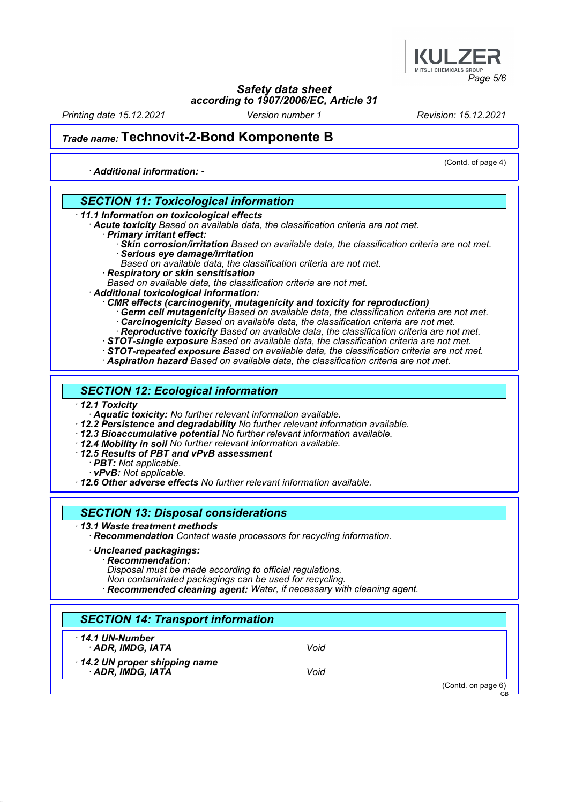

Printing date 15.12.2021 Version number 1 Revision: 15.12.2021

(Contd. of page 4)

# Trade name: Technovit-2-Bond Komponente B

· Additional information: -

SECTION 11: Toxicological information · 11.1 Information on toxicological effects Acute toxicity Based on available data, the classification criteria are not met. · Primary irritant effect: · Skin corrosion/irritation Based on available data, the classification criteria are not met. · Serious eye damage/irritation Based on available data, the classification criteria are not met. · Respiratory or skin sensitisation Based on available data, the classification criteria are not met. · Additional toxicological information: · CMR effects (carcinogenity, mutagenicity and toxicity for reproduction) · Germ cell mutagenicity Based on available data, the classification criteria are not met. · Carcinogenicity Based on available data, the classification criteria are not met. · Reproductive toxicity Based on available data, the classification criteria are not met. · STOT-single exposure Based on available data, the classification criteria are not met. · STOT-repeated exposure Based on available data, the classification criteria are not met. · Aspiration hazard Based on available data, the classification criteria are not met. SECTION 12: Ecological information · 12.1 Toxicity Aquatic toxicity: No further relevant information available. · 12.2 Persistence and degradability No further relevant information available. · 12.3 Bioaccumulative potential No further relevant information available. · 12.4 Mobility in soil No further relevant information available. · 12.5 Results of PBT and vPvB assessment PBT: Not applicable. · vPvB: Not applicable. · 12.6 Other adverse effects No further relevant information available. SECTION 13: Disposal considerations · 13.1 Waste treatment methods Recommendation Contact waste processors for recycling information. · Uncleaned packagings: · Recommendation: Disposal must be made according to official regulations. Non contaminated packagings can be used for recycling. · Recommended cleaning agent: Water, if necessary with cleaning agent. SECTION 14: Transport information · 14.1 UN-Number · ADR, IMDG, IATA Void · 14.2 UN proper shipping name · ADR, IMDG, IATA Void (Contd. on page 6) GB